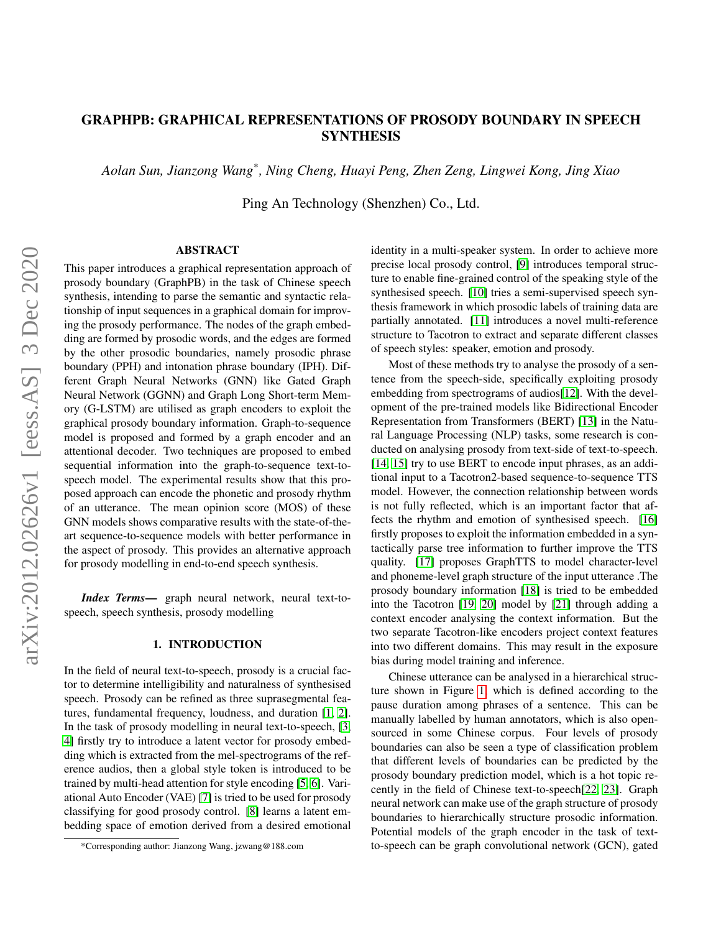# GRAPHPB: GRAPHICAL REPRESENTATIONS OF PROSODY BOUNDARY IN SPEECH **SYNTHESIS**

*Aolan Sun, Jianzong Wang\* , Ning Cheng, Huayi Peng, Zhen Zeng, Lingwei Kong, Jing Xiao*

Ping An Technology (Shenzhen) Co., Ltd.

#### ABSTRACT

This paper introduces a graphical representation approach of prosody boundary (GraphPB) in the task of Chinese speech synthesis, intending to parse the semantic and syntactic relationship of input sequences in a graphical domain for improving the prosody performance. The nodes of the graph embedding are formed by prosodic words, and the edges are formed by the other prosodic boundaries, namely prosodic phrase boundary (PPH) and intonation phrase boundary (IPH). Different Graph Neural Networks (GNN) like Gated Graph Neural Network (GGNN) and Graph Long Short-term Memory (G-LSTM) are utilised as graph encoders to exploit the graphical prosody boundary information. Graph-to-sequence model is proposed and formed by a graph encoder and an attentional decoder. Two techniques are proposed to embed sequential information into the graph-to-sequence text-tospeech model. The experimental results show that this proposed approach can encode the phonetic and prosody rhythm of an utterance. The mean opinion score (MOS) of these GNN models shows comparative results with the state-of-theart sequence-to-sequence models with better performance in the aspect of prosody. This provides an alternative approach for prosody modelling in end-to-end speech synthesis.

*Index Terms*— graph neural network, neural text-tospeech, speech synthesis, prosody modelling

# 1. INTRODUCTION

In the field of neural text-to-speech, prosody is a crucial factor to determine intelligibility and naturalness of synthesised speech. Prosody can be refined as three suprasegmental features, fundamental frequency, loudness, and duration [\[1,](#page-6-0) [2\]](#page-6-1). In the task of prosody modelling in neural text-to-speech, [\[3,](#page-6-2) [4\]](#page-6-3) firstly try to introduce a latent vector for prosody embedding which is extracted from the mel-spectrograms of the reference audios, then a global style token is introduced to be trained by multi-head attention for style encoding [\[5,](#page-6-4) [6\]](#page-6-5). Variational Auto Encoder (VAE) [\[7\]](#page-6-6) is tried to be used for prosody classifying for good prosody control. [\[8\]](#page-6-7) learns a latent embedding space of emotion derived from a desired emotional

identity in a multi-speaker system. In order to achieve more precise local prosody control, [\[9\]](#page-6-8) introduces temporal structure to enable fine-grained control of the speaking style of the synthesised speech. [\[10\]](#page-6-9) tries a semi-supervised speech synthesis framework in which prosodic labels of training data are partially annotated. [\[11\]](#page-6-10) introduces a novel multi-reference structure to Tacotron to extract and separate different classes of speech styles: speaker, emotion and prosody.

Most of these methods try to analyse the prosody of a sentence from the speech-side, specifically exploiting prosody embedding from spectrograms of audios[\[12\]](#page-6-11). With the development of the pre-trained models like Bidirectional Encoder Representation from Transformers (BERT) [\[13\]](#page-6-12) in the Natural Language Processing (NLP) tasks, some research is conducted on analysing prosody from text-side of text-to-speech. [\[14,](#page-6-13) [15\]](#page-6-14) try to use BERT to encode input phrases, as an additional input to a Tacotron2-based sequence-to-sequence TTS model. However, the connection relationship between words is not fully reflected, which is an important factor that affects the rhythm and emotion of synthesised speech. [\[16\]](#page-6-15) firstly proposes to exploit the information embedded in a syntactically parse tree information to further improve the TTS quality. [\[17\]](#page-6-16) proposes GraphTTS to model character-level and phoneme-level graph structure of the input utterance .The prosody boundary information [\[18\]](#page-6-17) is tried to be embedded into the Tacotron [\[19,](#page-7-0) [20\]](#page-7-1) model by [\[21\]](#page-7-2) through adding a context encoder analysing the context information. But the two separate Tacotron-like encoders project context features into two different domains. This may result in the exposure bias during model training and inference.

Chinese utterance can be analysed in a hierarchical structure shown in Figure [1,](#page-1-0) which is defined according to the pause duration among phrases of a sentence. This can be manually labelled by human annotators, which is also opensourced in some Chinese corpus. Four levels of prosody boundaries can also be seen a type of classification problem that different levels of boundaries can be predicted by the prosody boundary prediction model, which is a hot topic recently in the field of Chinese text-to-speech[\[22,](#page-7-3) [23\]](#page-7-4). Graph neural network can make use of the graph structure of prosody boundaries to hierarchically structure prosodic information. Potential models of the graph encoder in the task of textto-speech can be graph convolutional network (GCN), gated

<sup>\*</sup>Corresponding author: Jianzong Wang, jzwang@188.com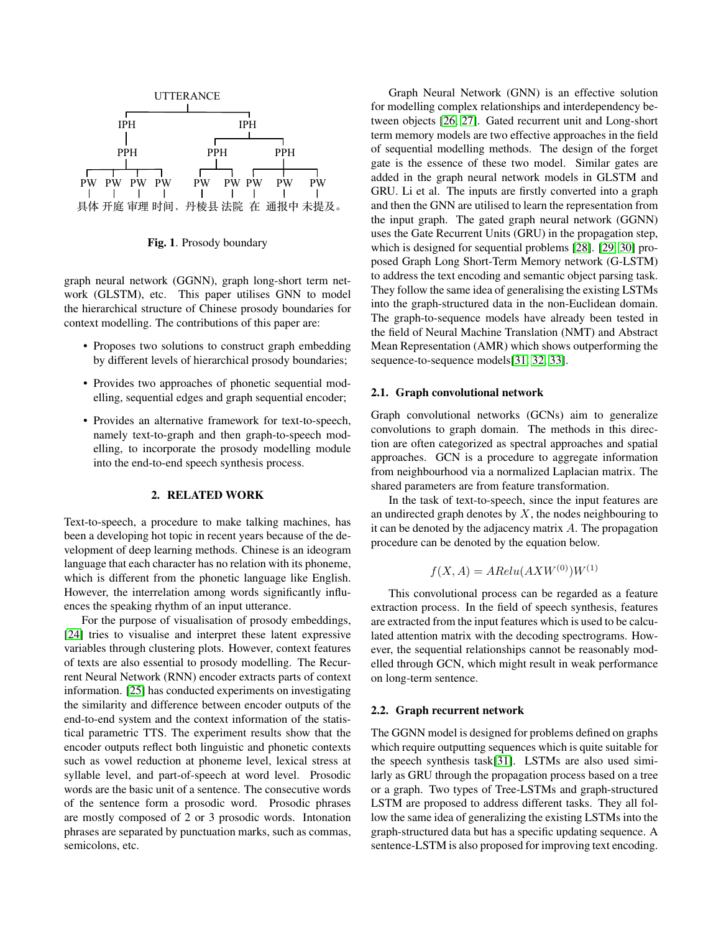

<span id="page-1-0"></span>Fig. 1. Prosody boundary

graph neural network (GGNN), graph long-short term network (GLSTM), etc. This paper utilises GNN to model the hierarchical structure of Chinese prosody boundaries for context modelling. The contributions of this paper are:

- Proposes two solutions to construct graph embedding by different levels of hierarchical prosody boundaries;
- Provides two approaches of phonetic sequential modelling, sequential edges and graph sequential encoder;
- Provides an alternative framework for text-to-speech, namely text-to-graph and then graph-to-speech modelling, to incorporate the prosody modelling module into the end-to-end speech synthesis process.

#### 2. RELATED WORK

Text-to-speech, a procedure to make talking machines, has been a developing hot topic in recent years because of the development of deep learning methods. Chinese is an ideogram language that each character has no relation with its phoneme, which is different from the phonetic language like English. However, the interrelation among words significantly influences the speaking rhythm of an input utterance.

For the purpose of visualisation of prosody embeddings, [\[24\]](#page-7-5) tries to visualise and interpret these latent expressive variables through clustering plots. However, context features of texts are also essential to prosody modelling. The Recurrent Neural Network (RNN) encoder extracts parts of context information. [\[25\]](#page-7-6) has conducted experiments on investigating the similarity and difference between encoder outputs of the end-to-end system and the context information of the statistical parametric TTS. The experiment results show that the encoder outputs reflect both linguistic and phonetic contexts such as vowel reduction at phoneme level, lexical stress at syllable level, and part-of-speech at word level. Prosodic words are the basic unit of a sentence. The consecutive words of the sentence form a prosodic word. Prosodic phrases are mostly composed of 2 or 3 prosodic words. Intonation phrases are separated by punctuation marks, such as commas, semicolons, etc.

Graph Neural Network (GNN) is an effective solution for modelling complex relationships and interdependency between objects [\[26,](#page-7-7) [27\]](#page-7-8). Gated recurrent unit and Long-short term memory models are two effective approaches in the field of sequential modelling methods. The design of the forget gate is the essence of these two model. Similar gates are added in the graph neural network models in GLSTM and GRU. Li et al. The inputs are firstly converted into a graph and then the GNN are utilised to learn the representation from the input graph. The gated graph neural network (GGNN) uses the Gate Recurrent Units (GRU) in the propagation step, which is designed for sequential problems [\[28\]](#page-7-9). [\[29,](#page-7-10) [30\]](#page-7-11) proposed Graph Long Short-Term Memory network (G-LSTM) to address the text encoding and semantic object parsing task. They follow the same idea of generalising the existing LSTMs into the graph-structured data in the non-Euclidean domain. The graph-to-sequence models have already been tested in the field of Neural Machine Translation (NMT) and Abstract Mean Representation (AMR) which shows outperforming the sequence-to-sequence models[\[31,](#page-7-12) [32,](#page-7-13) [33\]](#page-7-14).

### 2.1. Graph convolutional network

Graph convolutional networks (GCNs) aim to generalize convolutions to graph domain. The methods in this direction are often categorized as spectral approaches and spatial approaches. GCN is a procedure to aggregate information from neighbourhood via a normalized Laplacian matrix. The shared parameters are from feature transformation.

In the task of text-to-speech, since the input features are an undirected graph denotes by  $X$ , the nodes neighbouring to it can be denoted by the adjacency matrix A. The propagation procedure can be denoted by the equation below.

$$
f(X, A) = ARelu(AXW^{(0)})W^{(1)}
$$

This convolutional process can be regarded as a feature extraction process. In the field of speech synthesis, features are extracted from the input features which is used to be calculated attention matrix with the decoding spectrograms. However, the sequential relationships cannot be reasonably modelled through GCN, which might result in weak performance on long-term sentence.

#### 2.2. Graph recurrent network

The GGNN model is designed for problems defined on graphs which require outputting sequences which is quite suitable for the speech synthesis task[\[31\]](#page-7-12). LSTMs are also used similarly as GRU through the propagation process based on a tree or a graph. Two types of Tree-LSTMs and graph-structured LSTM are proposed to address different tasks. They all follow the same idea of generalizing the existing LSTMs into the graph-structured data but has a specific updating sequence. A sentence-LSTM is also proposed for improving text encoding.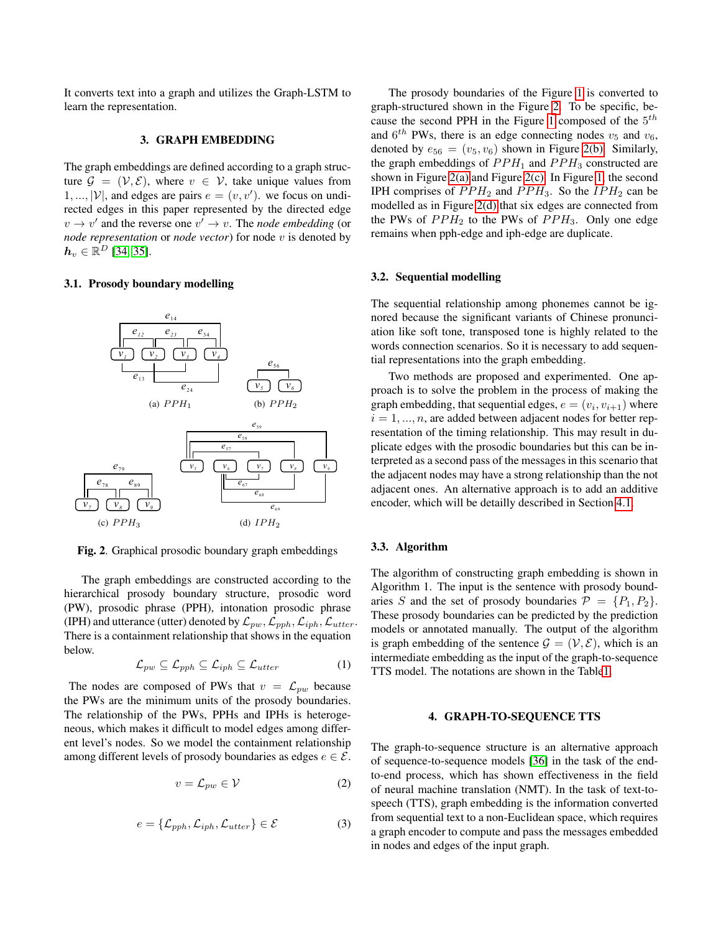It converts text into a graph and utilizes the Graph-LSTM to learn the representation.

### 3. GRAPH EMBEDDING

The graph embeddings are defined according to a graph structure  $\mathcal{G} = (\mathcal{V}, \mathcal{E})$ , where  $v \in \mathcal{V}$ , take unique values from  $1, ..., |\mathcal{V}|$ , and edges are pairs  $e = (v, v')$ . we focus on undirected edges in this paper represented by the directed edge  $v \rightarrow v'$  and the reverse one  $v' \rightarrow v$ . The *node embedding* (or *node representation* or *node vector*) for node v is denoted by  $\boldsymbol{h}_v \in \mathbb{R}^D$  [\[34,](#page-7-15) [35\]](#page-7-16).

#### 3.1. Prosody boundary modelling

<span id="page-2-2"></span>

<span id="page-2-4"></span><span id="page-2-3"></span><span id="page-2-0"></span>Fig. 2. Graphical prosodic boundary graph embeddings

The graph embeddings are constructed according to the hierarchical prosody boundary structure, prosodic word (PW), prosodic phrase (PPH), intonation prosodic phrase (IPH) and utterance (utter) denoted by  $\mathcal{L}_{pw}, \mathcal{L}_{pph}, \mathcal{L}_{u t t e r}$ There is a containment relationship that shows in the equation below.

$$
\mathcal{L}_{pw} \subseteq \mathcal{L}_{pph} \subseteq \mathcal{L}_{iph} \subseteq \mathcal{L}_{utter} \tag{1}
$$

The nodes are composed of PWs that  $v = \mathcal{L}_{pw}$  because the PWs are the minimum units of the prosody boundaries. The relationship of the PWs, PPHs and IPHs is heterogeneous, which makes it difficult to model edges among different level's nodes. So we model the containment relationship among different levels of prosody boundaries as edges  $e \in \mathcal{E}$ .

$$
v = \mathcal{L}_{pw} \in \mathcal{V} \tag{2}
$$

$$
e = {\mathcal{L}_{pph}, \mathcal{L}_{iph}, \mathcal{L}_{utter}} \in \mathcal{E}
$$
 (3)

The prosody boundaries of the Figure [1](#page-1-0) is converted to graph-structured shown in the Figure [2.](#page-2-0) To be specific, be-cause the second PPH in the Figure [1](#page-1-0) composed of the  $5<sup>th</sup>$ and  $6^{th}$  PWs, there is an edge connecting nodes  $v_5$  and  $v_6$ , denoted by  $e_{56} = (v_5, v_6)$  shown in Figure [2\(b\).](#page-2-1) Similarly, the graph embeddings of  $PPH_1$  and  $PPH_3$  constructed are shown in Figure [2\(a\)](#page-2-2) and Figure [2\(c\).](#page-2-3) In Figure [1,](#page-1-0) the second IPH comprises of  $PPH_2$  and  $PPH_3$ . So the  $IPH_2$  can be modelled as in Figure [2\(d\)](#page-2-4) that six edges are connected from the PWs of  $PPH_2$  to the PWs of  $PPH_3$ . Only one edge remains when pph-edge and iph-edge are duplicate.

#### <span id="page-2-5"></span>3.2. Sequential modelling

The sequential relationship among phonemes cannot be ignored because the significant variants of Chinese pronunciation like soft tone, transposed tone is highly related to the words connection scenarios. So it is necessary to add sequential representations into the graph embedding.

<span id="page-2-1"></span>Two methods are proposed and experimented. One approach is to solve the problem in the process of making the graph embedding, that sequential edges,  $e = (v_i, v_{i+1})$  where  $i = 1, \ldots, n$ , are added between adjacent nodes for better representation of the timing relationship. This may result in duplicate edges with the prosodic boundaries but this can be interpreted as a second pass of the messages in this scenario that the adjacent nodes may have a strong relationship than the not adjacent ones. An alternative approach is to add an additive encoder, which will be detailly described in Section [4.1.](#page-3-0)

#### 3.3. Algorithm

The algorithm of constructing graph embedding is shown in Algorithm 1. The input is the sentence with prosody boundaries S and the set of prosody boundaries  $\mathcal{P} = \{P_1, P_2\}.$ These prosody boundaries can be predicted by the prediction models or annotated manually. The output of the algorithm is graph embedding of the sentence  $\mathcal{G} = (\mathcal{V}, \mathcal{E})$ , which is an intermediate embedding as the input of the graph-to-sequence TTS model. The notations are shown in the Tabl[e1.](#page-3-1)

# 4. GRAPH-TO-SEQUENCE TTS

The graph-to-sequence structure is an alternative approach of sequence-to-sequence models [\[36\]](#page-7-17) in the task of the endto-end process, which has shown effectiveness in the field of neural machine translation (NMT). In the task of text-tospeech (TTS), graph embedding is the information converted from sequential text to a non-Euclidean space, which requires a graph encoder to compute and pass the messages embedded in nodes and edges of the input graph.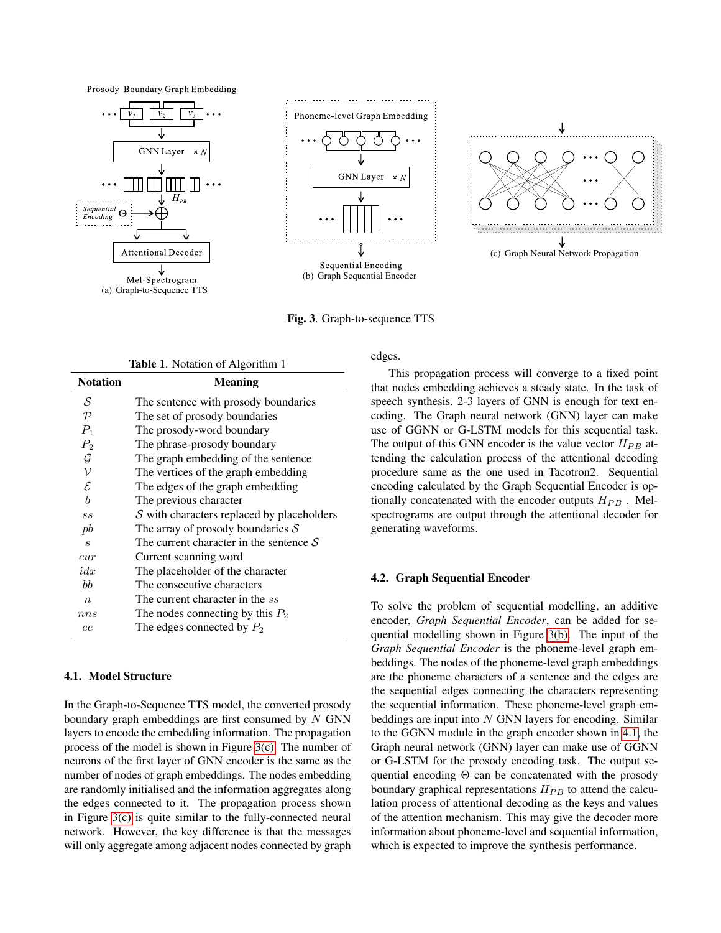Prosody Boundary Graph Embedding



<span id="page-3-3"></span>

(b) Graph Sequential Encoder

Fig. 3. Graph-to-sequence TTS

<span id="page-3-1"></span>

|                             | <b>Table 1.</b> Notation of Algorithm 1            |
|-----------------------------|----------------------------------------------------|
| <b>Notation</b>             | <b>Meaning</b>                                     |
| S                           | The sentence with prosody boundaries               |
| $\mathcal{P}$               | The set of prosody boundaries                      |
| $P_1$                       | The prosody-word boundary                          |
| $P_2$                       | The phrase-prosody boundary                        |
| $\mathcal G$                | The graph embedding of the sentence                |
| $\mathcal V$                | The vertices of the graph embedding                |
| $\mathcal E$                | The edges of the graph embedding                   |
| $\boldsymbol{b}$            | The previous character                             |
| SS                          | $S$ with characters replaced by placeholders       |
| pb                          | The array of prosody boundaries $S$                |
| $\mathcal{S}_{\mathcal{S}}$ | The current character in the sentence $\mathcal S$ |
| cur                         | Current scanning word                              |
| idx                         | The placeholder of the character                   |
| $b\bar{b}$                  | The consecutive characters                         |
| $\eta$                      | The current character in the ss                    |
| nns                         | The nodes connecting by this $P_2$                 |
| ee                          | The edges connected by $P_2$                       |

# <span id="page-3-0"></span>4.1. Model Structure

In the Graph-to-Sequence TTS model, the converted prosody boundary graph embeddings are first consumed by  $N$  GNN layers to encode the embedding information. The propagation process of the model is shown in Figure [3\(c\).](#page-3-2) The number of neurons of the first layer of GNN encoder is the same as the number of nodes of graph embeddings. The nodes embedding are randomly initialised and the information aggregates along the edges connected to it. The propagation process shown in Figure [3\(c\)](#page-3-2) is quite similar to the fully-connected neural network. However, the key difference is that the messages will only aggregate among adjacent nodes connected by graph

edges.

This propagation process will converge to a fixed point that nodes embedding achieves a steady state. In the task of speech synthesis, 2-3 layers of GNN is enough for text encoding. The Graph neural network (GNN) layer can make use of GGNN or G-LSTM models for this sequential task. The output of this GNN encoder is the value vector  $H_{PB}$  attending the calculation process of the attentional decoding procedure same as the one used in Tacotron2. Sequential encoding calculated by the Graph Sequential Encoder is optionally concatenated with the encoder outputs  $H_{PB}$ . Melspectrograms are output through the attentional decoder for generating waveforms.

<span id="page-3-2"></span>(c) Graph Neural Network Propagation

↓

#### 4.2. Graph Sequential Encoder

To solve the problem of sequential modelling, an additive encoder, *Graph Sequential Encoder*, can be added for sequential modelling shown in Figure [3\(b\).](#page-3-3) The input of the *Graph Sequential Encoder* is the phoneme-level graph embeddings. The nodes of the phoneme-level graph embeddings are the phoneme characters of a sentence and the edges are the sequential edges connecting the characters representing the sequential information. These phoneme-level graph embeddings are input into  $N$  GNN layers for encoding. Similar to the GGNN module in the graph encoder shown in [4.1,](#page-3-0) the Graph neural network (GNN) layer can make use of GGNN or G-LSTM for the prosody encoding task. The output sequential encoding Θ can be concatenated with the prosody boundary graphical representations  $H_{PB}$  to attend the calculation process of attentional decoding as the keys and values of the attention mechanism. This may give the decoder more information about phoneme-level and sequential information, which is expected to improve the synthesis performance.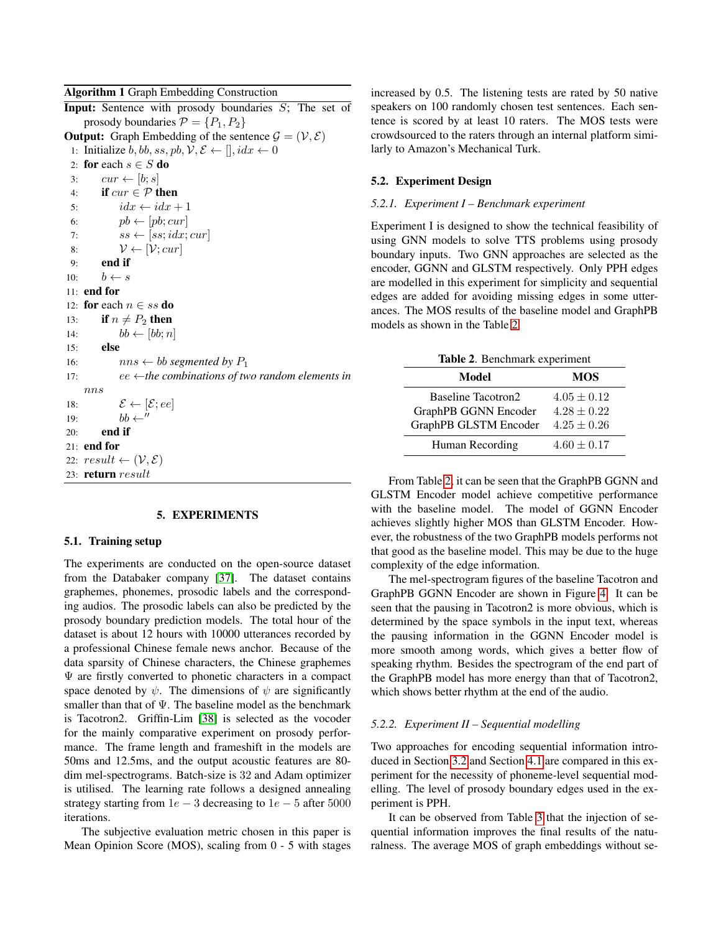#### Algorithm 1 Graph Embedding Construction

**Input:** Sentence with prosody boundaries  $S$ ; The set of prosody boundaries  $P = \{P_1, P_2\}$ **Output:** Graph Embedding of the sentence  $\mathcal{G} = (\mathcal{V}, \mathcal{E})$ 1: Initialize b, bb, ss, pb,  $\mathcal{V}, \mathcal{E} \leftarrow [$ ,  $idx \leftarrow 0$ 2: for each  $s \in S$  do 3:  $cur \leftarrow [b; s]$ 4: if  $cur \in \mathcal{P}$  then 5:  $idx \leftarrow idx + 1$ 6:  $pb \leftarrow [pb; cur]$ 7:  $ss \leftarrow [ss;idx;cur]$ 8:  $\mathcal{V} \leftarrow [\mathcal{V}; cur]$ 9: end if 10:  $b \leftarrow s$ 11: end for 12: for each  $n \in ss$  do 13: if  $n \neq P_2$  then 14:  $bb \leftarrow [bb; n]$ 15: else 16:  $nns \leftarrow bb$  *segmented by*  $P_1$ 17: ee ←*the combinations of two random elements in* nns 18:  $\mathcal{E} \leftarrow [\mathcal{E}; ee]$ 19:  $bb \leftarrow''$  $20:$  end if 21: end for 22:  $result \leftarrow (\mathcal{V}, \mathcal{E})$ 23: return result

#### 5. EXPERIMENTS

#### 5.1. Training setup

The experiments are conducted on the open-source dataset from the Databaker company [\[37\]](#page-7-18). The dataset contains graphemes, phonemes, prosodic labels and the corresponding audios. The prosodic labels can also be predicted by the prosody boundary prediction models. The total hour of the dataset is about 12 hours with 10000 utterances recorded by a professional Chinese female news anchor. Because of the data sparsity of Chinese characters, the Chinese graphemes  $\Psi$  are firstly converted to phonetic characters in a compact space denoted by  $\psi$ . The dimensions of  $\psi$  are significantly smaller than that of  $\Psi$ . The baseline model as the benchmark is Tacotron2. Griffin-Lim [\[38\]](#page-7-19) is selected as the vocoder for the mainly comparative experiment on prosody performance. The frame length and frameshift in the models are 50ms and 12.5ms, and the output acoustic features are 80 dim mel-spectrograms. Batch-size is 32 and Adam optimizer is utilised. The learning rate follows a designed annealing strategy starting from  $1e - 3$  decreasing to  $1e - 5$  after 5000 iterations.

The subjective evaluation metric chosen in this paper is Mean Opinion Score (MOS), scaling from 0 - 5 with stages

increased by 0.5. The listening tests are rated by 50 native speakers on 100 randomly chosen test sentences. Each sentence is scored by at least 10 raters. The MOS tests were crowdsourced to the raters through an internal platform similarly to Amazon's Mechanical Turk.

## 5.2. Experiment Design

#### *5.2.1. Experiment I – Benchmark experiment*

Experiment I is designed to show the technical feasibility of using GNN models to solve TTS problems using prosody boundary inputs. Two GNN approaches are selected as the encoder, GGNN and GLSTM respectively. Only PPH edges are modelled in this experiment for simplicity and sequential edges are added for avoiding missing edges in some utterances. The MOS results of the baseline model and GraphPB models as shown in the Table [2.](#page-4-0)

<span id="page-4-0"></span>

| Table 2. Benchmark experiment |                 |  |
|-------------------------------|-----------------|--|
| Model                         | <b>MOS</b>      |  |
| Baseline Tacotron2            | $4.05 \pm 0.12$ |  |
| GraphPB GGNN Encoder          | $4.28 \pm 0.22$ |  |
| GraphPB GLSTM Encoder         | $4.25 \pm 0.26$ |  |
| Human Recording               | $4.60 \pm 0.17$ |  |

From Table [2,](#page-4-0) it can be seen that the GraphPB GGNN and GLSTM Encoder model achieve competitive performance with the baseline model. The model of GGNN Encoder achieves slightly higher MOS than GLSTM Encoder. However, the robustness of the two GraphPB models performs not that good as the baseline model. This may be due to the huge complexity of the edge information.

The mel-spectrogram figures of the baseline Tacotron and GraphPB GGNN Encoder are shown in Figure [4.](#page-5-0) It can be seen that the pausing in Tacotron2 is more obvious, which is determined by the space symbols in the input text, whereas the pausing information in the GGNN Encoder model is more smooth among words, which gives a better flow of speaking rhythm. Besides the spectrogram of the end part of the GraphPB model has more energy than that of Tacotron2, which shows better rhythm at the end of the audio.

#### *5.2.2. Experiment II – Sequential modelling*

Two approaches for encoding sequential information introduced in Section [3.2](#page-2-5) and Section [4.1](#page-3-0) are compared in this experiment for the necessity of phoneme-level sequential modelling. The level of prosody boundary edges used in the experiment is PPH.

It can be observed from Table [3](#page-5-1) that the injection of sequential information improves the final results of the naturalness. The average MOS of graph embeddings without se-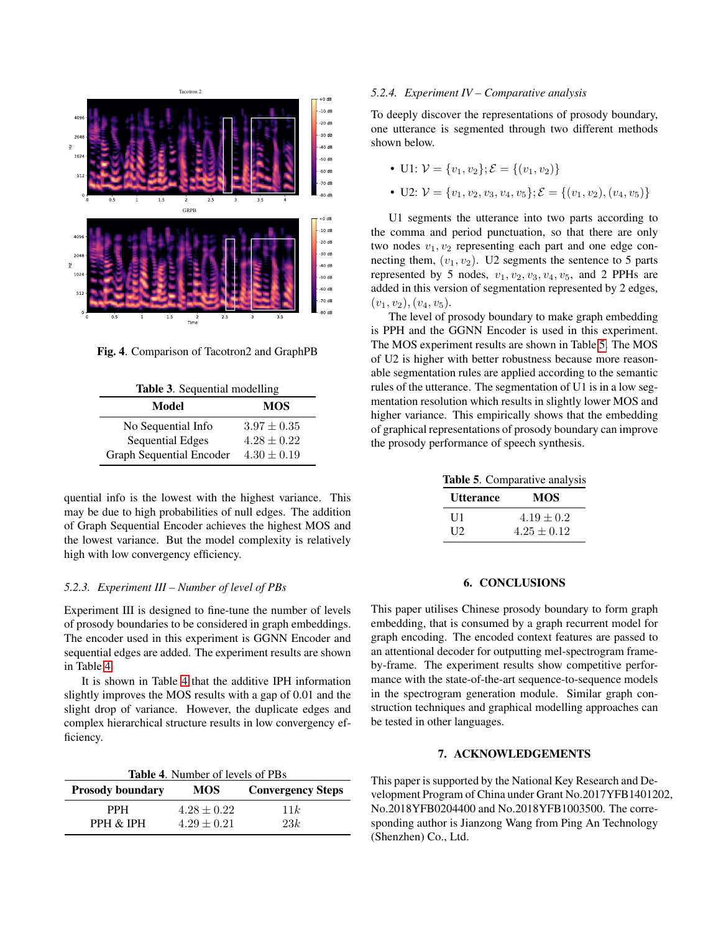

<span id="page-5-0"></span>Fig. 4. Comparison of Tacotron2 and GraphPB

<span id="page-5-1"></span>

| <b>Table 3.</b> Sequential modelling |                 |  |
|--------------------------------------|-----------------|--|
| Model                                | <b>MOS</b>      |  |
| No Sequential Info                   | $3.97 \pm 0.35$ |  |
| <b>Sequential Edges</b>              | $4.28 \pm 0.22$ |  |
| <b>Graph Sequential Encoder</b>      | $4.30 \pm 0.19$ |  |

quential info is the lowest with the highest variance. This may be due to high probabilities of null edges. The addition of Graph Sequential Encoder achieves the highest MOS and the lowest variance. But the model complexity is relatively high with low convergency efficiency.

#### *5.2.3. Experiment III – Number of level of PBs*

Experiment III is designed to fine-tune the number of levels of prosody boundaries to be considered in graph embeddings. The encoder used in this experiment is GGNN Encoder and sequential edges are added. The experiment results are shown in Table [4.](#page-5-2)

It is shown in Table [4](#page-5-2) that the additive IPH information slightly improves the MOS results with a gap of 0.01 and the slight drop of variance. However, the duplicate edges and complex hierarchical structure results in low convergency efficiency.

<span id="page-5-2"></span>

| <b>Table 4.</b> Number of levels of PBs |                 |                          |  |  |  |
|-----------------------------------------|-----------------|--------------------------|--|--|--|
| <b>Prosody boundary</b>                 | <b>MOS</b>      | <b>Convergency Steps</b> |  |  |  |
| <b>PPH</b>                              | $4.28 \pm 0.22$ | 11k                      |  |  |  |
| PPH & IPH                               | $4.29 \pm 0.21$ | 2.3k                     |  |  |  |

#### *5.2.4. Experiment IV – Comparative analysis*

To deeply discover the representations of prosody boundary, one utterance is segmented through two different methods shown below.

- U1:  $V = \{v_1, v_2\}$ ;  $\mathcal{E} = \{(v_1, v_2)\}$
- U2:  $V = \{v_1, v_2, v_3, v_4, v_5\}; \mathcal{E} = \{(v_1, v_2), (v_4, v_5)\}$

U1 segments the utterance into two parts according to the comma and period punctuation, so that there are only two nodes  $v_1, v_2$  representing each part and one edge connecting them,  $(v_1, v_2)$ . U2 segments the sentence to 5 parts represented by 5 nodes,  $v_1, v_2, v_3, v_4, v_5$ , and 2 PPHs are added in this version of segmentation represented by 2 edges,  $(v_1, v_2), (v_4, v_5).$ 

The level of prosody boundary to make graph embedding is PPH and the GGNN Encoder is used in this experiment. The MOS experiment results are shown in Table [5.](#page-5-3) The MOS of U2 is higher with better robustness because more reasonable segmentation rules are applied according to the semantic rules of the utterance. The segmentation of U1 is in a low segmentation resolution which results in slightly lower MOS and higher variance. This empirically shows that the embedding of graphical representations of prosody boundary can improve the prosody performance of speech synthesis.

<span id="page-5-3"></span>Table 5. Comparative analysis

| Utterance        | MOS             |
|------------------|-----------------|
| U1               | $4.19 \pm 0.2$  |
| $\overline{112}$ | $4.25 \pm 0.12$ |

## 6. CONCLUSIONS

This paper utilises Chinese prosody boundary to form graph embedding, that is consumed by a graph recurrent model for graph encoding. The encoded context features are passed to an attentional decoder for outputting mel-spectrogram frameby-frame. The experiment results show competitive performance with the state-of-the-art sequence-to-sequence models in the spectrogram generation module. Similar graph construction techniques and graphical modelling approaches can be tested in other languages.

## 7. ACKNOWLEDGEMENTS

This paper is supported by the National Key Research and Development Program of China under Grant No.2017YFB1401202, No.2018YFB0204400 and No.2018YFB1003500. The corresponding author is Jianzong Wang from Ping An Technology (Shenzhen) Co., Ltd.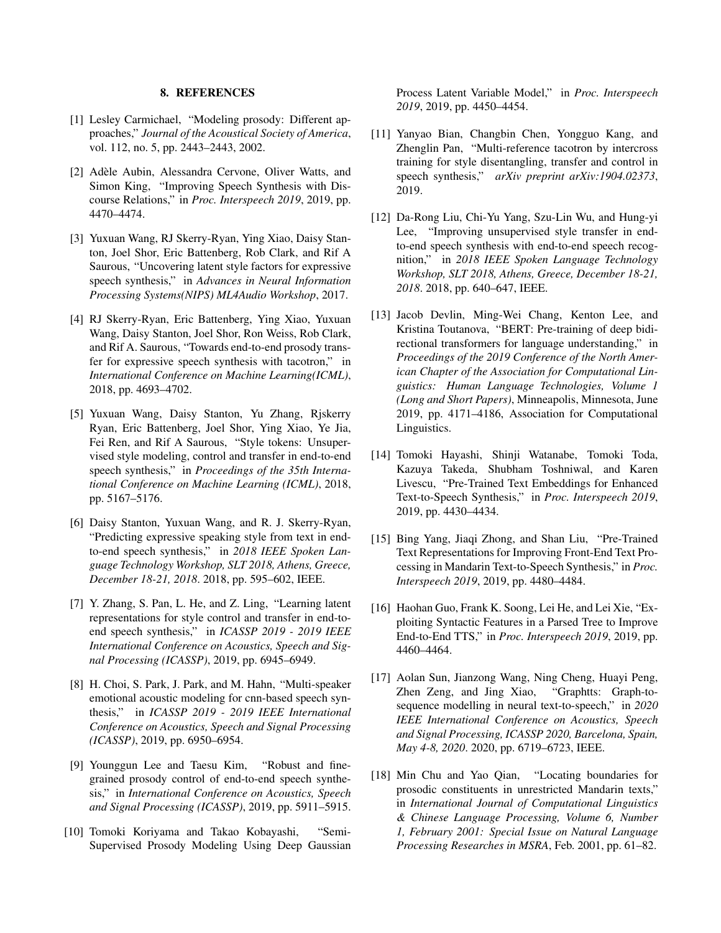## 8. REFERENCES

- <span id="page-6-0"></span>[1] Lesley Carmichael, "Modeling prosody: Different approaches," *Journal of the Acoustical Society of America*, vol. 112, no. 5, pp. 2443–2443, 2002.
- <span id="page-6-1"></span>[2] Adèle Aubin, Alessandra Cervone, Oliver Watts, and Simon King, "Improving Speech Synthesis with Discourse Relations," in *Proc. Interspeech 2019*, 2019, pp. 4470–4474.
- <span id="page-6-2"></span>[3] Yuxuan Wang, RJ Skerry-Ryan, Ying Xiao, Daisy Stanton, Joel Shor, Eric Battenberg, Rob Clark, and Rif A Saurous, "Uncovering latent style factors for expressive speech synthesis," in *Advances in Neural Information Processing Systems(NIPS) ML4Audio Workshop*, 2017.
- <span id="page-6-3"></span>[4] RJ Skerry-Ryan, Eric Battenberg, Ying Xiao, Yuxuan Wang, Daisy Stanton, Joel Shor, Ron Weiss, Rob Clark, and Rif A. Saurous, "Towards end-to-end prosody transfer for expressive speech synthesis with tacotron," in *International Conference on Machine Learning(ICML)*, 2018, pp. 4693–4702.
- <span id="page-6-4"></span>[5] Yuxuan Wang, Daisy Stanton, Yu Zhang, Rjskerry Ryan, Eric Battenberg, Joel Shor, Ying Xiao, Ye Jia, Fei Ren, and Rif A Saurous, "Style tokens: Unsupervised style modeling, control and transfer in end-to-end speech synthesis," in *Proceedings of the 35th International Conference on Machine Learning (ICML)*, 2018, pp. 5167–5176.
- <span id="page-6-5"></span>[6] Daisy Stanton, Yuxuan Wang, and R. J. Skerry-Ryan, "Predicting expressive speaking style from text in endto-end speech synthesis," in *2018 IEEE Spoken Language Technology Workshop, SLT 2018, Athens, Greece, December 18-21, 2018*. 2018, pp. 595–602, IEEE.
- <span id="page-6-6"></span>[7] Y. Zhang, S. Pan, L. He, and Z. Ling, "Learning latent representations for style control and transfer in end-toend speech synthesis," in *ICASSP 2019 - 2019 IEEE International Conference on Acoustics, Speech and Signal Processing (ICASSP)*, 2019, pp. 6945–6949.
- <span id="page-6-7"></span>[8] H. Choi, S. Park, J. Park, and M. Hahn, "Multi-speaker emotional acoustic modeling for cnn-based speech synthesis," in *ICASSP 2019 - 2019 IEEE International Conference on Acoustics, Speech and Signal Processing (ICASSP)*, 2019, pp. 6950–6954.
- <span id="page-6-8"></span>[9] Younggun Lee and Taesu Kim, "Robust and finegrained prosody control of end-to-end speech synthesis," in *International Conference on Acoustics, Speech and Signal Processing (ICASSP)*, 2019, pp. 5911–5915.
- <span id="page-6-9"></span>[10] Tomoki Koriyama and Takao Kobayashi, "Semi-Supervised Prosody Modeling Using Deep Gaussian

Process Latent Variable Model," in *Proc. Interspeech 2019*, 2019, pp. 4450–4454.

- <span id="page-6-10"></span>[11] Yanyao Bian, Changbin Chen, Yongguo Kang, and Zhenglin Pan, "Multi-reference tacotron by intercross training for style disentangling, transfer and control in speech synthesis," *arXiv preprint arXiv:1904.02373*, 2019.
- <span id="page-6-11"></span>[12] Da-Rong Liu, Chi-Yu Yang, Szu-Lin Wu, and Hung-yi Lee, "Improving unsupervised style transfer in endto-end speech synthesis with end-to-end speech recognition," in *2018 IEEE Spoken Language Technology Workshop, SLT 2018, Athens, Greece, December 18-21, 2018*. 2018, pp. 640–647, IEEE.
- <span id="page-6-12"></span>[13] Jacob Devlin, Ming-Wei Chang, Kenton Lee, and Kristina Toutanova, "BERT: Pre-training of deep bidirectional transformers for language understanding," in *Proceedings of the 2019 Conference of the North American Chapter of the Association for Computational Linguistics: Human Language Technologies, Volume 1 (Long and Short Papers)*, Minneapolis, Minnesota, June 2019, pp. 4171–4186, Association for Computational Linguistics.
- <span id="page-6-13"></span>[14] Tomoki Hayashi, Shinji Watanabe, Tomoki Toda, Kazuya Takeda, Shubham Toshniwal, and Karen Livescu, "Pre-Trained Text Embeddings for Enhanced Text-to-Speech Synthesis," in *Proc. Interspeech 2019*, 2019, pp. 4430–4434.
- <span id="page-6-14"></span>[15] Bing Yang, Jiaqi Zhong, and Shan Liu, "Pre-Trained Text Representations for Improving Front-End Text Processing in Mandarin Text-to-Speech Synthesis," in *Proc. Interspeech 2019*, 2019, pp. 4480–4484.
- <span id="page-6-15"></span>[16] Haohan Guo, Frank K. Soong, Lei He, and Lei Xie, "Exploiting Syntactic Features in a Parsed Tree to Improve End-to-End TTS," in *Proc. Interspeech 2019*, 2019, pp. 4460–4464.
- <span id="page-6-16"></span>[17] Aolan Sun, Jianzong Wang, Ning Cheng, Huayi Peng, Zhen Zeng, and Jing Xiao, "Graphtts: Graph-tosequence modelling in neural text-to-speech," in *2020 IEEE International Conference on Acoustics, Speech and Signal Processing, ICASSP 2020, Barcelona, Spain, May 4-8, 2020*. 2020, pp. 6719–6723, IEEE.
- <span id="page-6-17"></span>[18] Min Chu and Yao Qian, "Locating boundaries for prosodic constituents in unrestricted Mandarin texts," in *International Journal of Computational Linguistics & Chinese Language Processing, Volume 6, Number 1, February 2001: Special Issue on Natural Language Processing Researches in MSRA*, Feb. 2001, pp. 61–82.